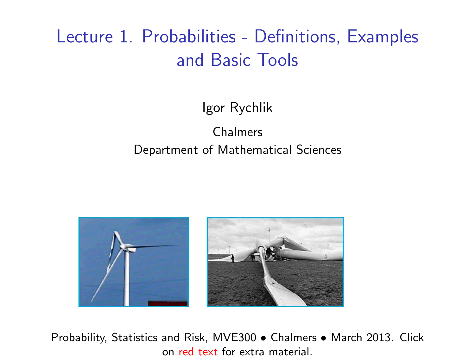# Lecture 1. Probabilities - Definitions, Examples and Basic Tools

Igor Rychlik

Chalmers Department of Mathematical Sciences



Probability, Statistics and Risk, MVE300 • Chalmers • March 2013. Click on [red text](http://www.math.chalmers.se/Stat/Grundutb/CTH/mve300/1213/) for extra material.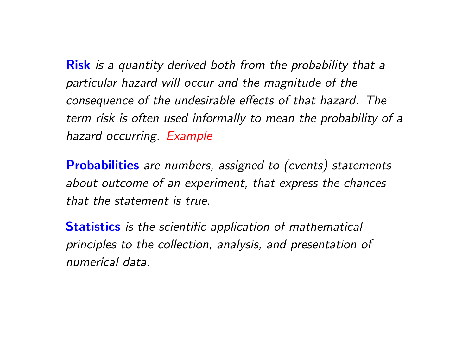**Risk** is a quantity derived both from the probability that a particular hazard will occur and the magnitude of the consequence of the undesirable effects of that hazard. The term risk is often used informally to mean the probability of a hazard occurring. Example

**Probabilities** are numbers, assigned to (events) statements about outcome of an experiment, that express the chances that the statement is true.

**Statistics** is the scientific application of mathematical principles to the collection, analysis, and presentation of numerical data.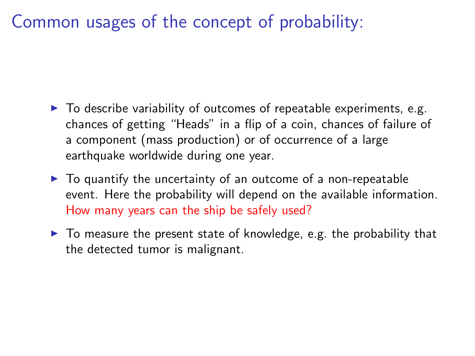Common usages of the concept of probability:

- $\triangleright$  To describe variability of outcomes of repeatable experiments, e.g. chances of getting "Heads" in a flip of a coin, chances of failure of a component (mass production) or of occurrence of a large earthquake worldwide during one year.
- $\triangleright$  To quantify the uncertainty of an outcome of a non-repeatable event. Here the probability will depend on the available information. How many years can the ship be safely used?
- $\triangleright$  To measure the present state of knowledge, e.g. the probability that the detected tumor is malignant.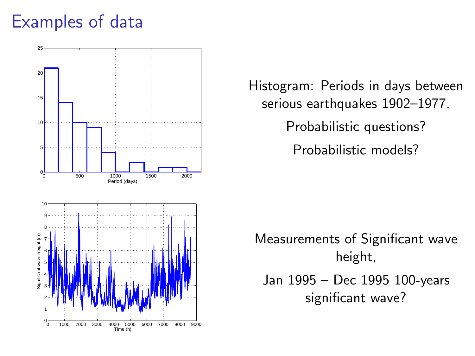# Examples of data



Histogram: Periods in days between serious earthquakes 1902–1977. Probabilistic questions? Probabilistic models?

Measurements of Significant wave height, Jan 1995 – Dec 1995 100-years significant wave?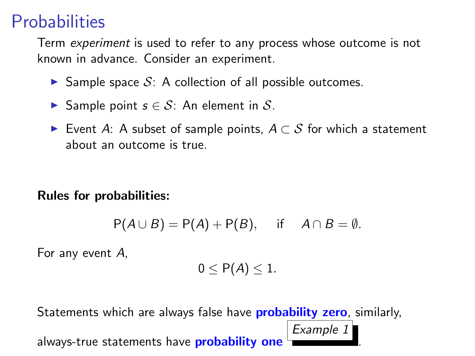# **Probabilities**

Term experiment is used to refer to any process whose outcome is not known in advance. Consider an experiment.

- Sample space  $S: A$  collection of all possible outcomes.
- **►** Sample point  $s \in \mathcal{S}$ : An element in S.
- ► Event A: A subset of sample points,  $A \subset S$  for which a statement about an outcome is true.

#### Rules for probabilities:

$$
P(A \cup B) = P(A) + P(B), \quad \text{if} \quad A \cap B = \emptyset.
$$

For any event A,

$$
0\leq P(A)\leq 1.
$$

Example 1

.

Statements which are always false have **probability zero**, similarly,

always-true statements have **probability one**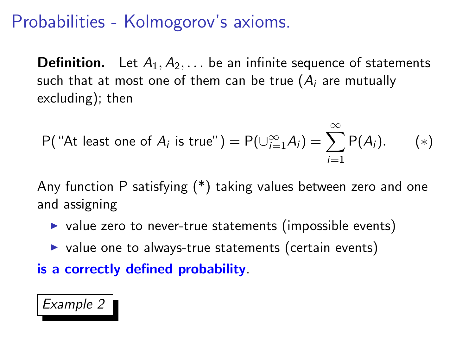# Probabilities - Kolmogorov's axioms.

**Definition.** Let  $A_1, A_2, \ldots$  be an infinite sequence of statements such that at most one of them can be true  $(A_i)$  are mutually excluding); then

$$
P("At least one of Ai is true") = P(\cup_{i=1}^{\infty} A_i) = \sum_{i=1}^{\infty} P(A_i). \qquad (*)
$$

Any function P satisfying (\*) taking values between zero and one and assigning

- $\triangleright$  value zero to never-true statements (impossible events)
- $\triangleright$  value one to always-true statements (certain events)
- is a correctly defined probability.

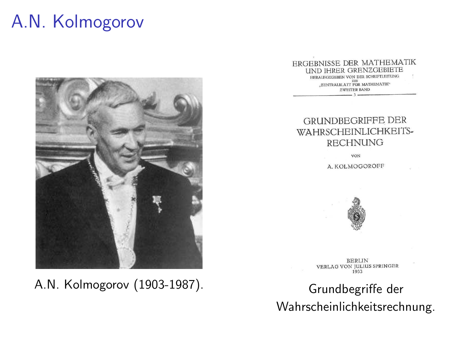# A.N. Kolmogorov



A.N. Kolmogorov (1903-1987). Grundbegriffe der

ERGEBNISSE DER MATHEMATIK **UND IHRER GRENZGEBIETE** HERATECROBERN VON DER SCHRIFTLEITUNG DBS MATHEMATIK<sup>®</sup>

**EWEITER RAND** 

#### **GRUNDBEGRIFFE DER** WAHRSCHEINLICHKEITS-**RECHNUNG**

VON

A. KOLMOGOROFF



**BERLIN VERLAG VON JULIUS SPRINGER** 1933

Wahrscheinlichkeitsrechnung.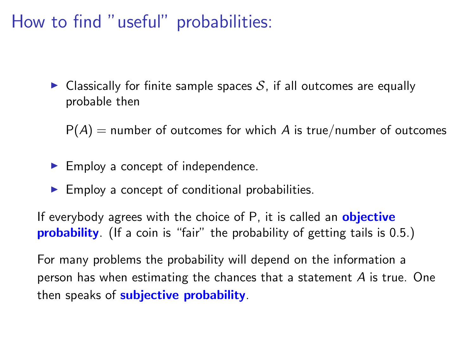How to find "useful" probabilities:

 $\triangleright$  Classically for finite sample spaces S, if all outcomes are equally probable then

 $P(A)$  = number of outcomes for which A is true/number of outcomes

- $\blacktriangleright$  Employ a concept of independence.
- $\blacktriangleright$  Employ a concept of conditional probabilities.

If everybody agrees with the choice of P, it is called an **objective probability**. (If a coin is "fair" the probability of getting tails is 0.5.)

For many problems the probability will depend on the information a person has when estimating the chances that a statement  $A$  is true. One then speaks of subjective probability.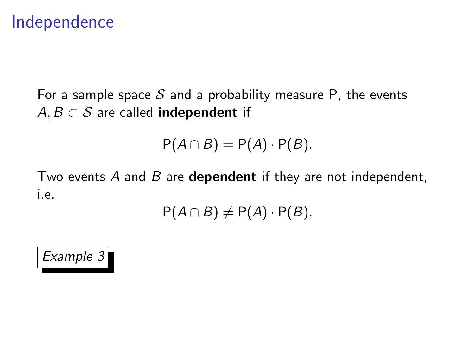### Independence

For a sample space S and a probability measure P, the events  $A, B \subset S$  are called **independent** if

$$
P(A \cap B) = P(A) \cdot P(B).
$$

Two events A and B are **dependent** if they are not independent, i.e.

$$
P(A \cap B) \neq P(A) \cdot P(B).
$$

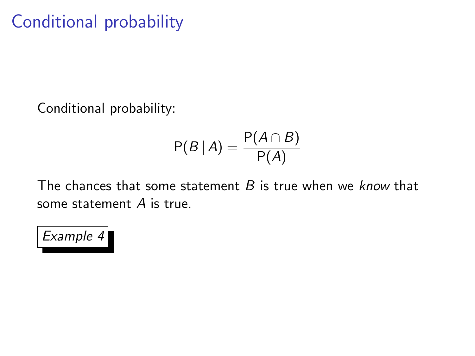# Conditional probability

Conditional probability:

$$
\mathsf{P}(B | A) = \frac{\mathsf{P}(A \cap B)}{\mathsf{P}(A)}
$$

The chances that some statement  $B$  is true when we know that some statement A is true.

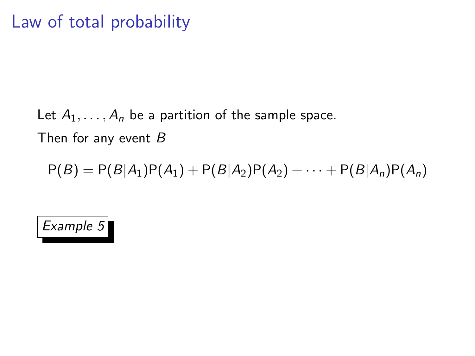## Let  $A_1, \ldots, A_n$  be a partition of the sample space. Then for any event  $B$

 $P(B) = P(B|A_1)P(A_1) + P(B|A_2)P(A_2) + \cdots + P(B|A_n)P(A_n)$ 

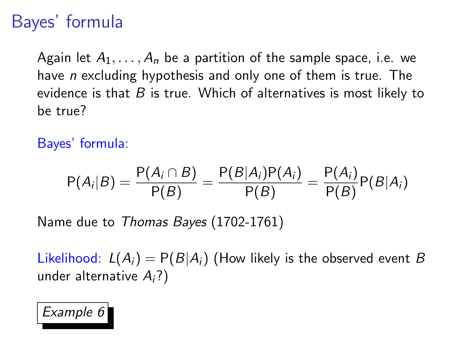# Bayes' formula

Again let  $A_1, \ldots, A_n$  be a partition of the sample space, i.e. we have *n* excluding hypothesis and only one of them is true. The evidence is that  $B$  is true. Which of alternatives is most likely to be true?

Bayes' formula:

$$
P(A_i|B) = \frac{P(A_i \cap B)}{P(B)} = \frac{P(B|A_i)P(A_i)}{P(B)} = \frac{P(A_i)}{P(B)}P(B|A_i)
$$

Name due to Thomas Bayes (1702-1761)

Likelihood:  $L(A_i) = P(B|A_i)$  (How likely is the observed event B under alternative  $A_i$ ?)

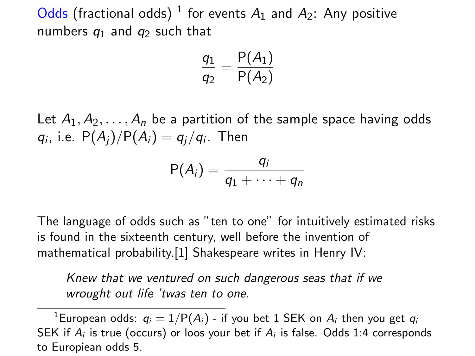Odds (fractional odds)  $^1$  for events  $A_1$  and  $A_2$ : Any positive numbers  $q_1$  and  $q_2$  such that

$$
\frac{q_1}{q_2} = \frac{P(A_1)}{P(A_2)}
$$

Let  $A_1, A_2, \ldots, A_n$  be a partition of the sample space having odds  $q_i$ , i.e.  $P(A_j)/P(A_i) = q_j/q_i$ . Then

$$
\mathsf{P}(A_i)=\frac{q_i}{q_1+\cdots+q_n}
$$

The language of odds such as "ten to one" for intuitively estimated risks is found in the sixteenth century, well before the invention of mathematical probability.[1] Shakespeare writes in Henry IV:

Knew that we ventured on such dangerous seas that if we wrought out life 'twas ten to one.

<sup>1</sup>European odds:  $q_i = 1/P(A_i)$  - if you bet 1 SEK on  $A_i$  then you get  $q_i$ SEK if  $A_i$  is true (occurs) or loos your bet if  $A_i$  is false. Odds 1:4 corresponds to Europiean odds 5.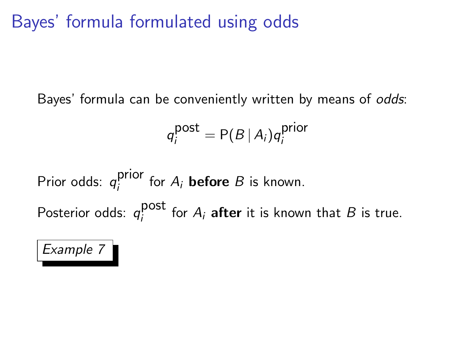# Bayes' formula formulated using odds

Bayes' formula can be conveniently written by means of odds:

$$
q_i^{\text{post}} = P(B \mid A_i) q_i^{\text{prior}}
$$

Prior odds:  $q_i^{\text{prior}}$  $i$  for  $A_i$  **before** B is known. Posterior odds:  $q_i^{\text{post}}$  $i_j^{\text{post}}$  for  $A_i$  after it is known that  $B$  is true.

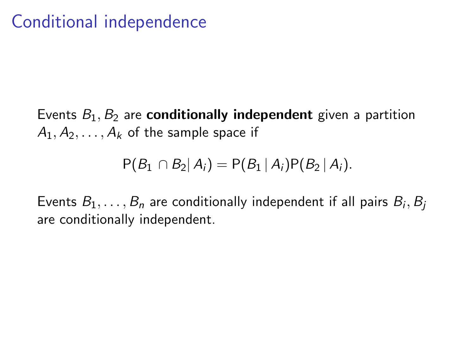Events  $B_1, B_2$  are **conditionally independent** given a partition  $A_1, A_2, \ldots, A_k$  of the sample space if

$$
P(B_1 \cap B_2 | A_i) = P(B_1 | A_i)P(B_2 | A_i).
$$

Events  $B_1,\ldots,B_n$  are conditionally independent if all pairs  $B_i,B_j$ are conditionally independent.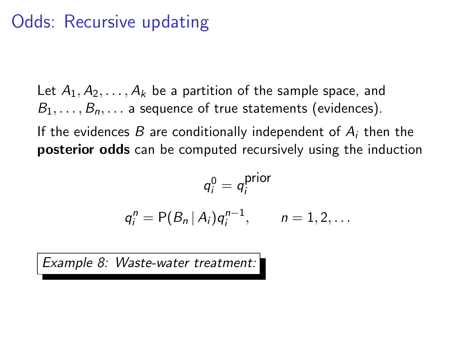# Odds: Recursive updating

Let  $A_1, A_2, \ldots, A_k$  be a partition of the sample space, and  $B_1, \ldots, B_n, \ldots$  a sequence of true statements (evidences).

If the evidences B are conditionally independent of  $A_i$  then the posterior odds can be computed recursively using the induction

$$
q_i^0 = q_i^{\text{prior}}
$$

$$
q_i^n = P(B_n | A_i)q_i^{n-1}, \quad n = 1, 2, ...
$$

Example 8: Waste-water treatment: